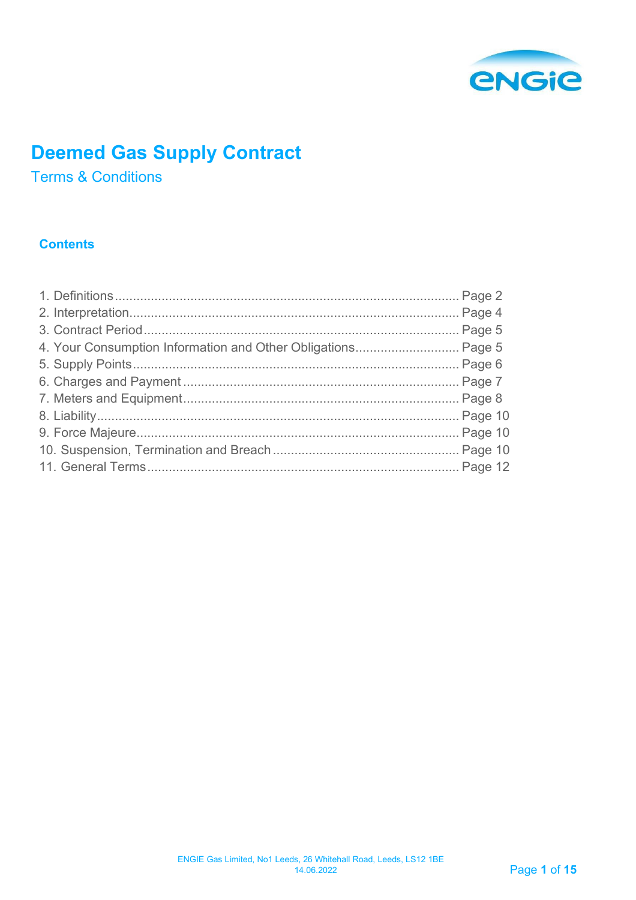

# **Deemed Gas Supply Contract**

**Terms & Conditions** 

## **Contents**

| 4. Your Consumption Information and Other Obligations Page 5 |
|--------------------------------------------------------------|
|                                                              |
|                                                              |
|                                                              |
|                                                              |
|                                                              |
|                                                              |
|                                                              |
|                                                              |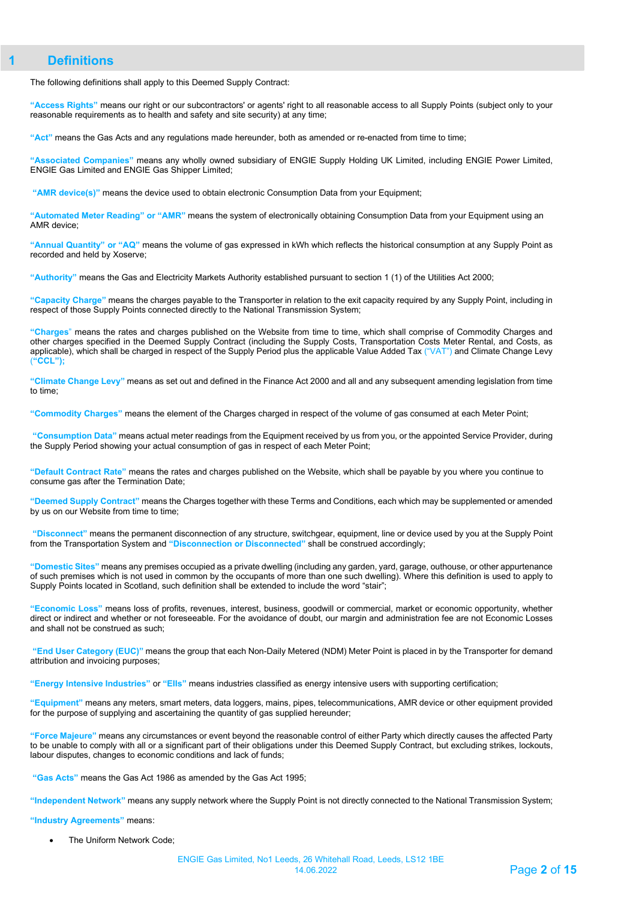## <span id="page-1-0"></span>**1 Definitions**

The following definitions shall apply to this Deemed Supply Contract:

**"Access Rights"** means our right or our subcontractors' or agents' right to all reasonable access to all Supply Points (subject only to your reasonable requirements as to health and safety and site security) at any time;

**"Act"** means the Gas Acts and any regulations made hereunder, both as amended or re-enacted from time to time;

**"Associated Companies"** means any wholly owned subsidiary of ENGIE Supply Holding UK Limited, including ENGIE Power Limited, ENGIE Gas Limited and ENGIE Gas Shipper Limited;

**"AMR device(s)"** means the device used to obtain electronic Consumption Data from your Equipment;

**"Automated Meter Reading" or "AMR"** means the system of electronically obtaining Consumption Data from your Equipment using an AMR device;

**"Annual Quantity" or "AQ"** means the volume of gas expressed in kWh which reflects the historical consumption at any Supply Point as recorded and held by Xoserve;

**"Authority"** means the Gas and Electricity Markets Authority established pursuant to section 1 (1) of the Utilities Act 2000;

**"Capacity Charge"** means the charges payable to the Transporter in relation to the exit capacity required by any Supply Point, including in respect of those Supply Points connected directly to the National Transmission System;

**"Charges**" means the rates and charges published on the Website from time to time, which shall comprise of Commodity Charges and other charges specified in the Deemed Supply Contract (including the Supply Costs, Transportation Costs Meter Rental, and Costs, as applicable), which shall be charged in respect of the Supply Period plus the applicable Value Added Tax ("VAT") and Climate Change Levy (**"CCL");**

**"Climate Change Levy"** means as set out and defined in the Finance Act 2000 and all and any subsequent amending legislation from time to time;

**"Commodity Charges"** means the element of the Charges charged in respect of the volume of gas consumed at each Meter Point;

**"Consumption Data"** means actual meter readings from the Equipment received by us from you, or the appointed Service Provider, during the Supply Period showing your actual consumption of gas in respect of each Meter Point;

**"Default Contract Rate"** means the rates and charges published o[n the W](http://the/)ebsite, which shall be payable by you where you continue to consume gas after the Termination Date;

**"Deemed Supply Contract"** means the Charges together with these Terms and Conditions, each which may be supplemented or amended by us on our Website from time to time;

**"Disconnect"** means the permanent disconnection of any structure, switchgear, equipment, line or device used by you at the Supply Point from the Transportation System and **"Disconnection or Disconnected"** shall be construed accordingly;

**"Domestic Sites"** means any premises occupied as a private dwelling (including any garden, yard, garage, outhouse, or other appurtenance of such premises which is not used in common by the occupants of more than one such dwelling). Where this definition is used to apply to Supply Points located in Scotland, such definition shall be extended to include the word "stair";

**"Economic Loss"** means loss of profits, revenues, interest, business, goodwill or commercial, market or economic opportunity, whether direct or indirect and whether or not foreseeable. For the avoidance of doubt, our margin and administration fee are not Economic Losses and shall not be construed as such;

**"End User Category (EUC)"** means the group that each Non-Daily Metered (NDM) Meter Point is placed in by the Transporter for demand attribution and invoicing purposes;

**"Energy Intensive Industries"** or **"EIIs"** means industries classified as energy intensive users with supporting certification;

**"Equipment"** means any meters, smart meters, data loggers, mains, pipes, telecommunications, AMR device or other equipment provided for the purpose of supplying and ascertaining the quantity of gas supplied hereunder;

**"Force Majeure"** means any circumstances or event beyond the reasonable control of either Party which directly causes the affected Party to be unable to comply with all or a significant part of their obligations under this Deemed Supply Contract, but excluding strikes, lockouts, labour disputes, changes to economic conditions and lack of funds;

**"Gas Acts"** means the Gas Act 1986 as amended by the Gas Act 1995;

**"Independent Network"** means any supply network where the Supply Point is not directly connected to the National Transmission System;

**"Industry Agreements"** means:

The Uniform Network Code: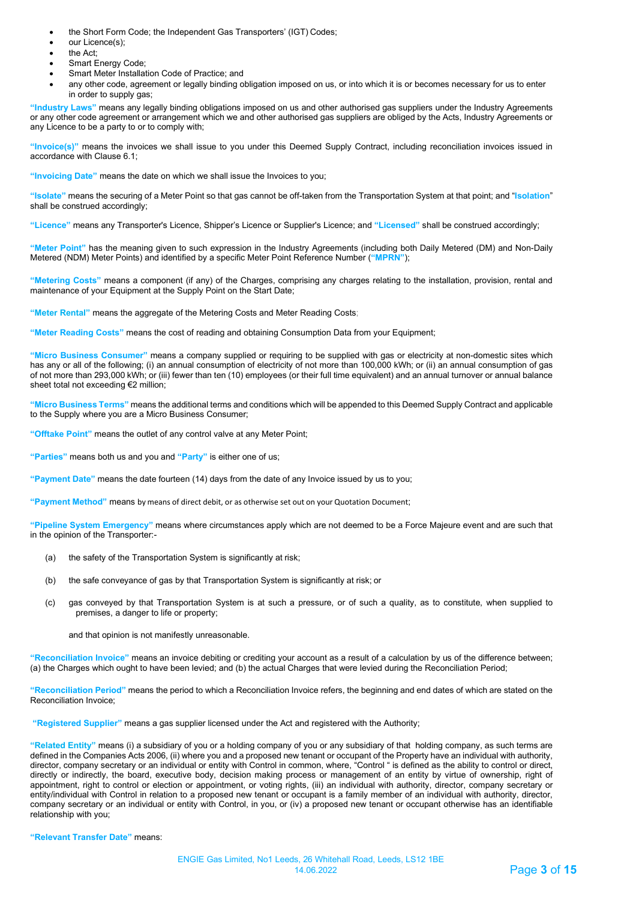- the Short Form Code; the Independent Gas Transporters' (IGT) Codes;
- our Licence(s);
- the Act:
- Smart Energy Code;
- Smart Meter Installation Code of Practice; and
- any other code, agreement or legally binding obligation imposed on us, or into which it is or becomes necessary for us to enter in order to supply gas;

**"Industry Laws"** means any legally binding obligations imposed on us and other authorised gas suppliers under the Industry Agreements or any other code agreement or arrangement which we and other authorised gas suppliers are obliged by the Acts, Industry Agreements or any Licence to be a party to or to comply with;

**"Invoice(s)"** means the invoices we shall issue to you under this Deemed Supply Contract, including reconciliation invoices issued in accordance with Clause 6.1;

**"Invoicing Date"** means the date on which we shall issue the Invoices to you;

**"Isolate"** means the securing of a Meter Point so that gas cannot be off-taken from the Transportation System at that point; and "**Isolation**" shall be construed accordingly;

**"Licence"** means any Transporter's Licence, Shipper's Licence or Supplier's Licence; and **"Licensed"** shall be construed accordingly;

**"Meter Point"** has the meaning given to such expression in the Industry Agreements (including both Daily Metered (DM) and Non-Daily Metered (NDM) Meter Points) and identified by a specific Meter Point Reference Number (**"MPRN"**);

**"Metering Costs"** means a component (if any) of the Charges, comprising any charges relating to the installation, provision, rental and maintenance of your Equipment at the Supply Point on the Start Date;

**"Meter Rental"** means the aggregate of the Metering Costs and Meter Reading Costs;

**"Meter Reading Costs"** means the cost of reading and obtaining Consumption Data from your Equipment;

**"Micro Business Consumer"** means a company supplied or requiring to be supplied with gas or electricity at non-domestic sites which has any or all of the following; (i) an annual consumption of electricity of not more than 100,000 kWh; or (ii) an annual consumption of gas of not more than 293,000 kWh; or (iii) fewer than ten (10) employees (or their full time equivalent) and an annual turnover or annual balance sheet total not exceeding €2 million;

**"Micro Business Terms"** means the additional terms and conditions which will be appended to this Deemed Supply Contract and applicable to the Supply where you are a Micro Business Consumer;

**"Offtake Point"** means the outlet of any control valve at any Meter Point;

**"Parties"** means both us and you and **"Party"** is either one of us;

**"Payment Date"** means the date fourteen (14) days from the date of any Invoice issued by us to you;

**"Payment Method"** means by means of direct debit, or as otherwise set out on your Quotation Document;

**"Pipeline System Emergency"** means where circumstances apply which are not deemed to be a Force Majeure event and are such that in the opinion of the Transporter:-

- (a) the safety of the Transportation System is significantly at risk;
- (b) the safe conveyance of gas by that Transportation System is significantly at risk; or
- (c) gas conveyed by that Transportation System is at such a pressure, or of such a quality, as to constitute, when supplied to premises, a danger to life or property;
	- and that opinion is not manifestly unreasonable.

**"Reconciliation Invoice"** means an invoice debiting or crediting your account as a result of a calculation by us of the difference between; (a) the Charges which ought to have been levied; and (b) the actual Charges that were levied during the Reconciliation Period;

**"Reconciliation Period"** means the period to which a Reconciliation Invoice refers, the beginning and end dates of which are stated on the Reconciliation Invoice;

**"Registered Supplier"** means a gas supplier licensed under the Act and registered with the Authority;

**"Related Entity"** means (i) a subsidiary of you or a holding company of you or any subsidiary of that holding company, as such terms are defined in the Companies Acts 2006, (ii) where you and a proposed new tenant or occupant of the Property have an individual with authority, director, company secretary or an individual or entity with Control in common, where, "Control " is defined as the ability to control or direct, directly or indirectly, the board, executive body, decision making process or management of an entity by virtue of ownership, right of appointment, right to control or election or appointment, or voting rights, (iii) an individual with authority, director, company secretary or entity/individual with Control in relation to a proposed new tenant or occupant is a family member of an individual with authority, director, company secretary or an individual or entity with Control, in you, or (iv) a proposed new tenant or occupant otherwise has an identifiable relationship with you;

**"Relevant Transfer Date"** means: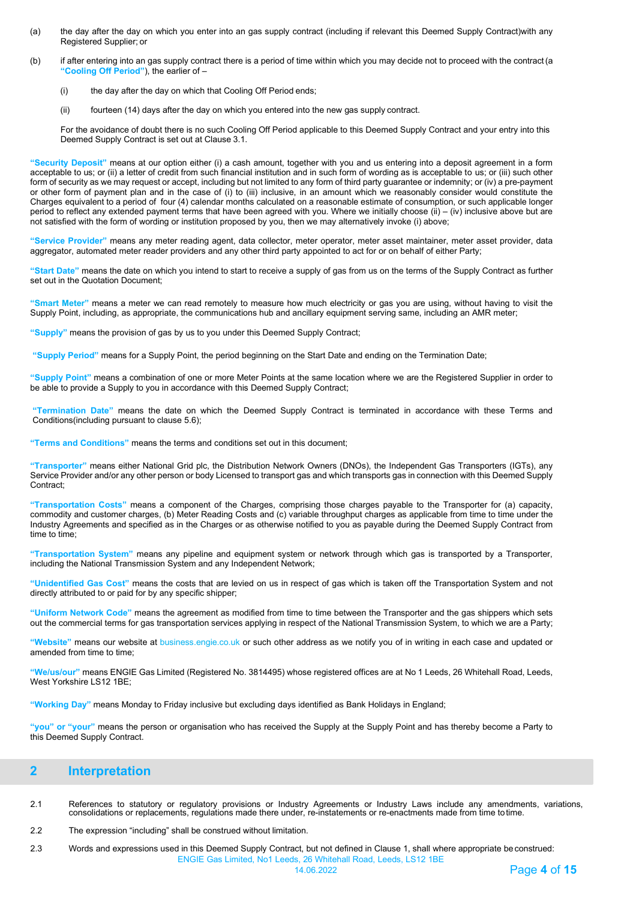- (a) the day after the day on which you enter into an gas supply contract (including if relevant this Deemed Supply Contract)with any Registered Supplier; or
- (b) if after entering into an gas supply contract there is a period of time within which you may decide not to proceed with the contract(a **"Cooling Off Period"**), the earlier of –
	- (i) the day after the day on which that Cooling Off Period ends;
	- (ii) fourteen (14) days after the day on which you entered into the new gas supply contract.

For the avoidance of doubt there is no such Cooling Off Period applicable to this Deemed Supply Contract and your entry into this Deemed Supply Contract is set out at Clause 3.1.

**"Security Deposit"** means at our option either (i) a cash amount, together with you and us entering into a deposit agreement in a form acceptable to us; or (ii) a letter of credit from such financial institution and in such form of wording as is acceptable to us; or (iii) such other form of security as we may request or accept, including but not limited to any form of third party guarantee or indemnity; or (iv) a pre-payment or other form of payment plan and in the case of (i) to (iii) inclusive, in an amount which we reasonably consider would constitute the Charges equivalent to a period of four (4) calendar months calculated on a reasonable estimate of consumption, or such applicable longer period to reflect any extended payment terms that have been agreed with you. Where we initially choose (ii) – (iv) inclusive above but are not satisfied with the form of wording or institution proposed by you, then we may alternatively invoke (i) above;

**"Service Provider"** means any meter reading agent, data collector, meter operator, meter asset maintainer, meter asset provider, data aggregator, automated meter reader providers and any other third party appointed to act for or on behalf of either Party;

**"Start Date"** means the date on which you intend to start to receive a supply of gas from us on the terms of the Supply Contract as further set out in the Quotation Document;

**"Smart Meter"** means a meter we can read remotely to measure how much electricity or gas you are using, without having to visit the Supply Point, including, as appropriate, the communications hub and ancillary equipment serving same, including an AMR meter;

**"Supply"** means the provision of gas by us to you under this Deemed Supply Contract;

**"Supply Period"** means for a Supply Point, the period beginning on the Start Date and ending on the Termination Date;

**"Supply Point"** means a combination of one or more Meter Points at the same location where we are the Registered Supplier in order to be able to provide a Supply to you in accordance with this Deemed Supply Contract;

**"Termination Date"** means the date on which the Deemed Supply Contract is terminated in accordance with these Terms and Conditions(including pursuant to clause 5.6);

**"Terms and Conditions"** means the terms and conditions set out in this document;

**"Transporter"** means either National Grid plc, the Distribution Network Owners (DNOs), the Independent Gas Transporters (IGTs), any Service Provider and/or any other person or body Licensed to transport gas and which transports gas in connection with this Deemed Supply Contract;

**"Transportation Costs"** means a component of the Charges, comprising those charges payable to the Transporter for (a) capacity, commodity and customer charges, (b) Meter Reading Costs and (c) variable throughput charges as applicable from time to time under the Industry Agreements and specified as in the Charges or as otherwise notified to you as payable during the Deemed Supply Contract from time to time;

**"Transportation System"** means any pipeline and equipment system or network through which gas is transported by a Transporter, including the National Transmission System and any Independent Network;

**"Unidentified Gas Cost"** means the costs that are levied on us in respect of gas which is taken off the Transportation System and not directly attributed to or paid for by any specific shipper;

**"Uniform Network Code"** means the agreement as modified from time to time between the Transporter and the gas shippers which sets out the commercial terms for gas transportation services applying in respect of the National Transmission System, to which we are a Party;

**"Website"** means our website at business.engie.co.uk or such other address as we notify you of in writing in each case and updated or amended from time to time:

**"We/us/our"** means ENGIE Gas Limited (Registered No. 3814495) whose registered offices are at No 1 Leeds, 26 Whitehall Road, Leeds, West Yorkshire LS12 1BE;

**"Working Day"** means Monday to Friday inclusive but excluding days identified as Bank Holidays in England;

**"you" or "your"** means the person or organisation who has received the Supply at the Supply Point and has thereby become a Party to this Deemed Supply Contract.

## <span id="page-3-0"></span>**2 Interpretation**

- 2.1 References to statutory or regulatory provisions or Industry Agreements or Industry Laws include any amendments, variations,<br>consolidations or replacements, regulations made there under, re-instatements or re-enactme
- 2.2 The expression "including" shall be construed without limitation.
- ENGIE Gas Limited, No1 Leeds, 26 Whitehall Road, Leeds, LS12 1BE 2.3 Words and expressions used in this Deemed Supply Contract, but not defined in Clause 1, shall where appropriate beconstrued: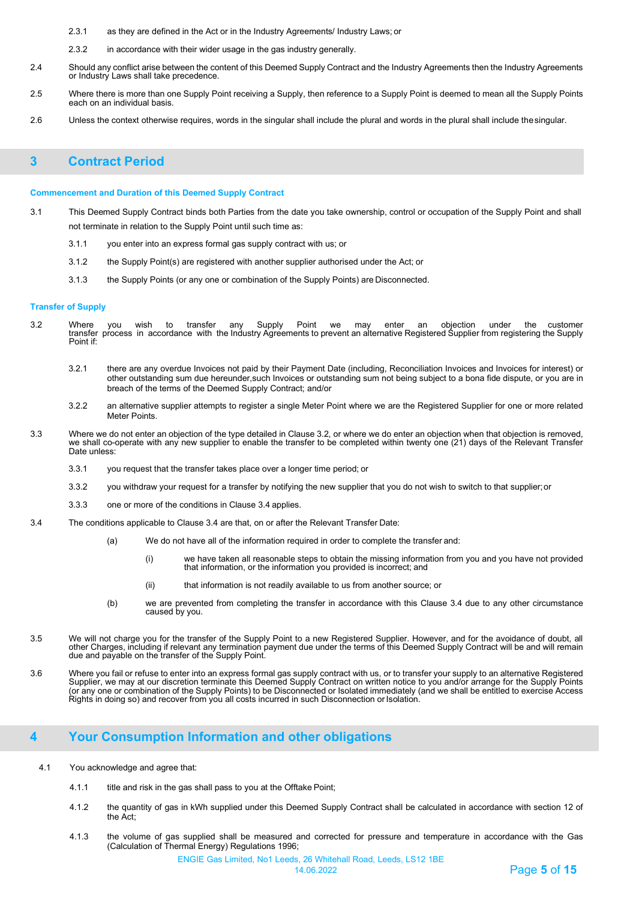- 2.3.1 as they are defined in the Act or in the Industry Agreements/ Industry Laws; or
- 2.3.2 in accordance with their wider usage in the gas industry generally.
- 2.4 Should any conflict arise between the content of this Deemed Supply Contract and the Industry Agreements then the Industry Agreements or Industry Laws shall take precedence.
- 2.5 Where there is more than one Supply Point receiving a Supply, then reference to a Supply Point is deemed to mean all the Supply Points each on an individual basis.
- 2.6 Unless the context otherwise requires, words in the singular shall include the plural and words in the plural shall include thesingular.

## <span id="page-4-0"></span>**3 Contract Period**

#### **Commencement and Duration of this Deemed Supply Contract**

- 3.1 This Deemed Supply Contract binds both Parties from the date you take ownership, control or occupation of the Supply Point and shall not terminate in relation to the Supply Point until such time as:
	- 3.1.1 you enter into an express formal gas supply contract with us; or
	- 3.1.2 the Supply Point(s) are registered with another supplier authorised under the Act; or
	- 3.1.3 the Supply Points (or any one or combination of the Supply Points) are Disconnected.

#### **Transfer of Supply**

- 3.2 Where you wish to transfer any Supply Point we may enter an objection under the customer<br>transfer process in accordance with the Industry Agreements to prevent an alternative Registered Supplier from registering the Point if:
	- 3.2.1 there are any overdue Invoices not paid by their Payment Date (including, Reconciliation Invoices and Invoices for interest) or other outstanding sum due hereunder,such Invoices or outstanding sum not being subject to a bona fide dispute, or you are in breach of the terms of the Deemed Supply Contract; and/or
	- 3.2.2 an alternative supplier attempts to register a single Meter Point where we are the Registered Supplier for one or more related Meter Points.
- 3.3 Where we do not enter an objection of the type detailed in Clause 3.2, or where we do enter an objection when that objection is removed, we shall co-operate with any new supplier to enable the transfer to be completed within twenty one (21) days of the Relevant Transfer Date unless:
	- 3.3.1 you request that the transfer takes place over a longer time period; or
	- 3.3.2 you withdraw your request for a transfer by notifying the new supplier that you do not wish to switch to that supplier;or
	- 3.3.3 one or more of the conditions in Clause 3.4 applies.
- 3.4 The conditions applicable to Clause 3.4 are that, on or after the Relevant Transfer Date:
	- (a) We do not have all of the information required in order to complete the transfer and:
		- (i) we have taken all reasonable steps to obtain the missing information from you and you have not provided that information, or the information you provided is incorrect; and
		- (ii) that information is not readily available to us from another source; or
	- (b) we are prevented from completing the transfer in accordance with this Clause 3.4 due to any other circumstance caused by you.
- 3.5 We will not charge you for the transfer of the Supply Point to a new Registered Supplier. However, and for the avoidance of doubt, all other Charges, including if relevant any termination payment due under the terms of this Deemed Supply Contract will be and will remain due and payable on the transfer of the Supply Point.
- 3.6 Where you fail or refuse to enter into an express formal gas supply contract with us, or to transfer your supply to an alternative Registered<br>Supplier, we may at our discretion terminate this Deemed Supply Contract on (or any one or combination of the Supply Points) to be Disconnected or Isolated immediately (and we shall be entitled to exercise Access Rights in doing so) and recover from you all costs incurred in such Disconnection or Isolation.

## <span id="page-4-1"></span>**4 Your Consumption Information and other obligations**

- 4.1 You acknowledge and agree that:
	- 4.1.1 title and risk in the gas shall pass to you at the Offtake Point;
	- 4.1.2 the quantity of gas in kWh supplied under this Deemed Supply Contract shall be calculated in accordance with section 12 of the Act;
	- 4.1.3 the volume of gas supplied shall be measured and corrected for pressure and temperature in accordance with the Gas (Calculation of Thermal Energy) Regulations 1996;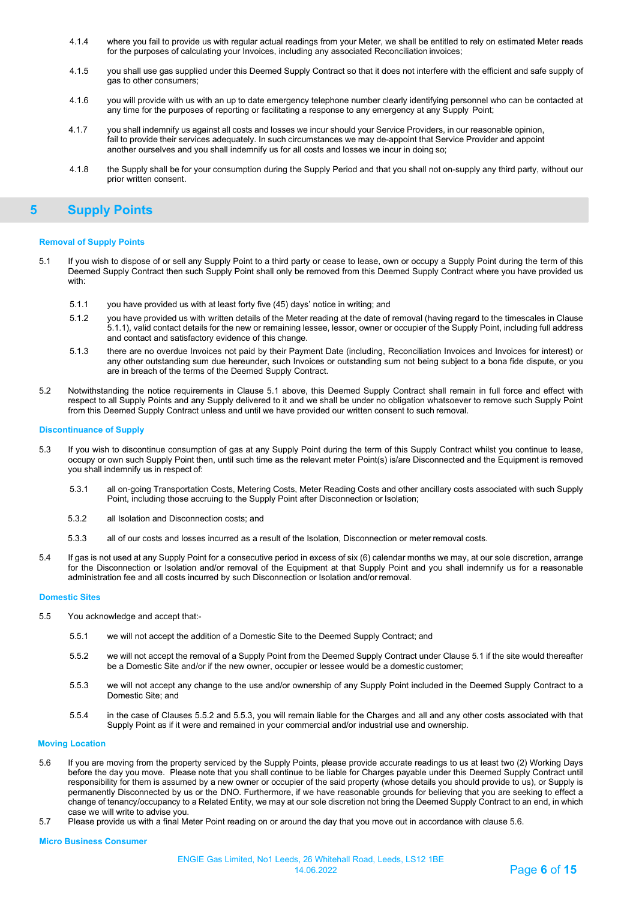- 4.1.4 where you fail to provide us with regular actual readings from your Meter, we shall be entitled to rely on estimated Meter reads for the purposes of calculating your Invoices, including any associated Reconciliation invoices;
- 4.1.5 you shall use gas supplied under this Deemed Supply Contract so that it does not interfere with the efficient and safe supply of gas to other consumers;
- 4.1.6 you will provide with us with an up to date emergency telephone number clearly identifying personnel who can be contacted at any time for the purposes of reporting or facilitating a response to any emergency at any Supply Point;
- 4.1.7 you shall indemnify us against all costs and losses we incur should your Service Providers, in our reasonable opinion, fail to provide their services adequately. In such circumstances we may de-appoint that Service Provider and appoint another ourselves and you shall indemnify us for all costs and losses we incur in doing so;
- <span id="page-5-0"></span>4.1.8 the Supply shall be for your consumption during the Supply Period and that you shall not on-supply any third party, without our prior written consent.

## **5 Supply Points**

#### **Removal of Supply Points**

- 5.1 If you wish to dispose of or sell any Supply Point to a third party or cease to lease, own or occupy a Supply Point during the term of this Deemed Supply Contract then such Supply Point shall only be removed from this Deemed Supply Contract where you have provided us with:
	- 5.1.1 you have provided us with at least forty five (45) days' notice in writing; and
	- 5.1.2 you have provided us with written details of the Meter reading at the date of removal (having regard to the timescales in Clause 5.1.1), valid contact details for the new or remaining lessee, lessor, owner or occupier of the Supply Point, including full address and contact and satisfactory evidence of this change.
	- 5.1.3 there are no overdue Invoices not paid by their Payment Date (including, Reconciliation Invoices and Invoices for interest) or any other outstanding sum due hereunder, such Invoices or outstanding sum not being subject to a bona fide dispute, or you are in breach of the terms of the Deemed Supply Contract.
- 5.2 Notwithstanding the notice requirements in Clause 5.1 above, this Deemed Supply Contract shall remain in full force and effect with respect to all Supply Points and any Supply delivered to it and we shall be under no obligation whatsoever to remove such Supply Point from this Deemed Supply Contract unless and until we have provided our written consent to such removal.

#### **Discontinuance of Supply**

- 5.3 If you wish to discontinue consumption of gas at any Supply Point during the term of this Supply Contract whilst you continue to lease, occupy or own such Supply Point then, until such time as the relevant meter Point(s) is/are Disconnected and the Equipment is removed you shall indemnify us in respect of:
	- 5.3.1 all on-going Transportation Costs, Metering Costs, Meter Reading Costs and other ancillary costs associated with such Supply Point, including those accruing to the Supply Point after Disconnection or Isolation;
	- 5.3.2 all Isolation and Disconnection costs; and
	- 5.3.3 all of our costs and losses incurred as a result of the Isolation, Disconnection or meter removal costs.
- 5.4 If gas is not used at any Supply Point for a consecutive period in excess of six (6) calendar months we may, at our sole discretion, arrange for the Disconnection or Isolation and/or removal of the Equipment at that Supply Point and you shall indemnify us for a reasonable administration fee and all costs incurred by such Disconnection or Isolation and/orremoval.

#### **Domestic Sites**

- 5.5 You acknowledge and accept that:-
	- 5.5.1 we will not accept the addition of a Domestic Site to the Deemed Supply Contract; and
	- 5.5.2 we will not accept the removal of a Supply Point from the Deemed Supply Contract under Clause 5.1 if the site would thereafter be a Domestic Site and/or if the new owner, occupier or lessee would be a domestic customer;
	- 5.5.3 we will not accept any change to the use and/or ownership of any Supply Point included in the Deemed Supply Contract to a Domestic Site; and
	- 5.5.4 in the case of Clauses 5.5.2 and 5.5.3, you will remain liable for the Charges and all and any other costs associated with that Supply Point as if it were and remained in your commercial and/or industrial use and ownership.

#### **Moving Location**

- 5.6 If you are moving from the property serviced by the Supply Points, please provide accurate readings to us at least two (2) Working Days before the day you move. Please note that you shall continue to be liable for Charges payable under this Deemed Supply Contract until responsibility for them is assumed by a new owner or occupier of the said property (whose details you should provide to us), or Supply is permanently Disconnected by us or the DNO. Furthermore, if we have reasonable grounds for believing that you are seeking to effect a change of tenancy/occupancy to a Related Entity, we may at our sole discretion not bring the Deemed Supply Contract to an end, in which case we will write to advise you.
- 5.7 Please provide us with a final Meter Point reading on or around the day that you move out in accordance with clause 5.6.

**Micro Business Consumer**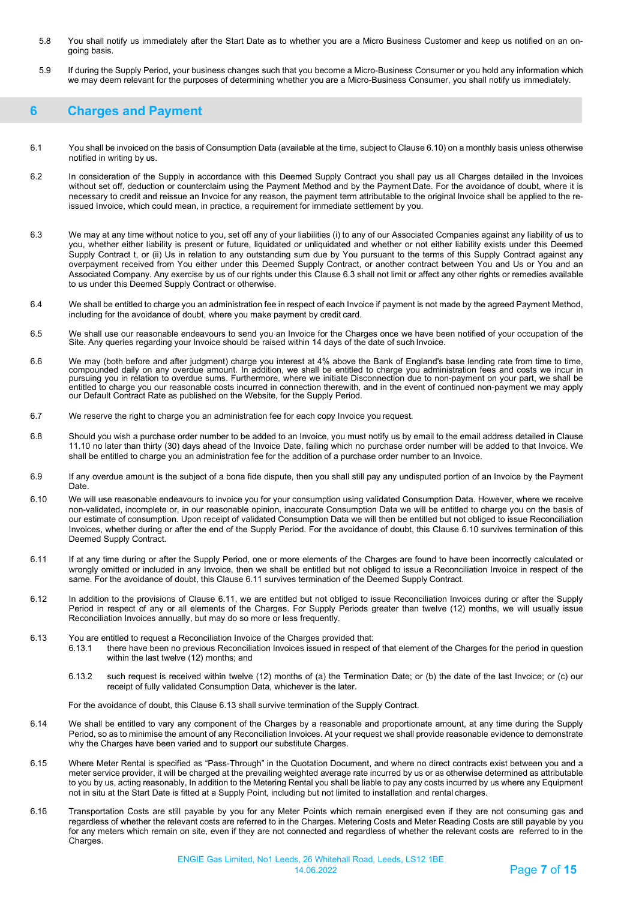- 5.8 You shall notify us immediately after the Start Date as to whether you are a Micro Business Customer and keep us notified on an ongoing basis.
- 5.9 If during the Supply Period, your business changes such that you become a Micro-Business Consumer or you hold any information which we may deem relevant for the purposes of determining whether you are a Micro-Business Consumer, you shall notify us immediately.

## <span id="page-6-0"></span>**6 Charges and Payment**

- 6.1 You shall be invoiced on the basis of Consumption Data (available at the time, subject to Clause 6.10) on a monthly basis unless otherwise notified in writing by us.
- 6.2 In consideration of the Supply in accordance with this Deemed Supply Contract you shall pay us all Charges detailed in the Invoices without set off, deduction or counterclaim using the Payment Method and by the Payment Date. For the avoidance of doubt, where it is necessary to credit and reissue an Invoice for any reason, the payment term attributable to the original Invoice shall be applied to the reissued Invoice, which could mean, in practice, a requirement for immediate settlement by you.
- 6.3 We may at any time without notice to you, set off any of your liabilities (i) to any of our Associated Companies against any liability of us to you, whether either liability is present or future, liquidated or unliquidated and whether or not either liability exists under this Deemed Supply Contract t, or (ii) Us in relation to any outstanding sum due by You pursuant to the terms of this Supply Contract against any overpayment received from You either under this Deemed Supply Contract, or another contract between You and Us or You and an Associated Company. Any exercise by us of our rights under this Clause 6.3 shall not limit or affect any other rights or remedies available to us under this Deemed Supply Contract or otherwise.
- 6.4 We shall be entitled to charge you an administration fee in respect of each Invoice if payment is not made by the agreed Payment Method, including for the avoidance of doubt, where you make payment by credit card.
- 6.5 We shall use our reasonable endeavours to send you an Invoice for the Charges once we have been notified of your occupation of the<br>Site. Any queries regarding your Invoice should be raised within 14 days of the
- 6.6 We may (both before and after judgment) charge you interest at 4% above the Bank of England's base lending rate from time to time, compounded daily on any overdue amount. In addition, we shall be entitled to charge you administration fees and costs we incur in<br>pursuing you in relation to overdue sums. Furthermore, where we initiate Disconnection due t entitled to charge you our reasonable costs incurred in connection therewith, and in the event of continued non-payment we may apply our Default Contract Rate as published on the Website, for the Supply Period.
- 6.7 We reserve the right to charge you an administration fee for each copy Invoice you request.
- 6.8 Should you wish a purchase order number to be added to an Invoice, you must notify us by email to the email address detailed in Clause 11.10 no later than thirty (30) days ahead of the Invoice Date, failing which no purchase order number will be added to that Invoice. We shall be entitled to charge you an administration fee for the addition of a purchase order number to an Invoice.
- 6.9 If any overdue amount is the subject of a bona fide dispute, then you shall still pay any undisputed portion of an Invoice by the Payment Date.
- 6.10 We will use reasonable endeavours to invoice you for your consumption using validated Consumption Data. However, where we receive non-validated, incomplete or, in our reasonable opinion, inaccurate Consumption Data we will be entitled to charge you on the basis of our estimate of consumption. Upon receipt of validated Consumption Data we will then be entitled but not obliged to issue Reconciliation Invoices, whether during or after the end of the Supply Period. For the avoidance of doubt, this Clause 6.10 survives termination of this Deemed Supply Contract.
- 6.11 If at any time during or after the Supply Period, one or more elements of the Charges are found to have been incorrectly calculated or wrongly omitted or included in any Invoice, then we shall be entitled but not obliged to issue a Reconciliation Invoice in respect of the same. For the avoidance of doubt, this Clause 6.11 survives termination of the Deemed Supply Contract.
- 6.12 In addition to the provisions of Clause 6.11, we are entitled but not obliged to issue Reconciliation Invoices during or after the Supply Period in respect of any or all elements of the Charges. For Supply Periods greater than twelve (12) months, we will usually issue Reconciliation Invoices annually, but may do so more or less frequently.
- 6.13 You are entitled to request a Reconciliation Invoice of the Charges provided that: there have been no previous Reconciliation Invoices issued in respect of that element of the Charges for the period in question within the last twelve (12) months; and
	- 6.13.2 such request is received within twelve (12) months of (a) the Termination Date; or (b) the date of the last Invoice; or (c) our receipt of fully validated Consumption Data, whichever is the later.

For the avoidance of doubt, this Clause 6.13 shall survive termination of the Supply Contract.

- 6.14 We shall be entitled to vary any component of the Charges by a reasonable and proportionate amount, at any time during the Supply Period, so as to minimise the amount of any Reconciliation Invoices. At your request we shall provide reasonable evidence to demonstrate why the Charges have been varied and to support our substitute Charges.
- 6.15 Where Meter Rental is specified as "Pass-Through" in the Quotation Document, and where no direct contracts exist between you and a meter service provider, it will be charged at the prevailing weighted average rate incurred by us or as otherwise determined as attributable to you by us, acting reasonably, In addition to the Metering Rental you shall be liable to pay any costs incurred by us where any Equipment not in situ at the Start Date is fitted at a Supply Point, including but not limited to installation and rental charges.
- 6.16 Transportation Costs are still payable by you for any Meter Points which remain energised even if they are not consuming gas and regardless of whether the relevant costs are referred to in the Charges. Metering Costs and Meter Reading Costs are still payable by you for any meters which remain on site, even if they are not connected and regardless of whether the relevant costs are referred to in the Charges.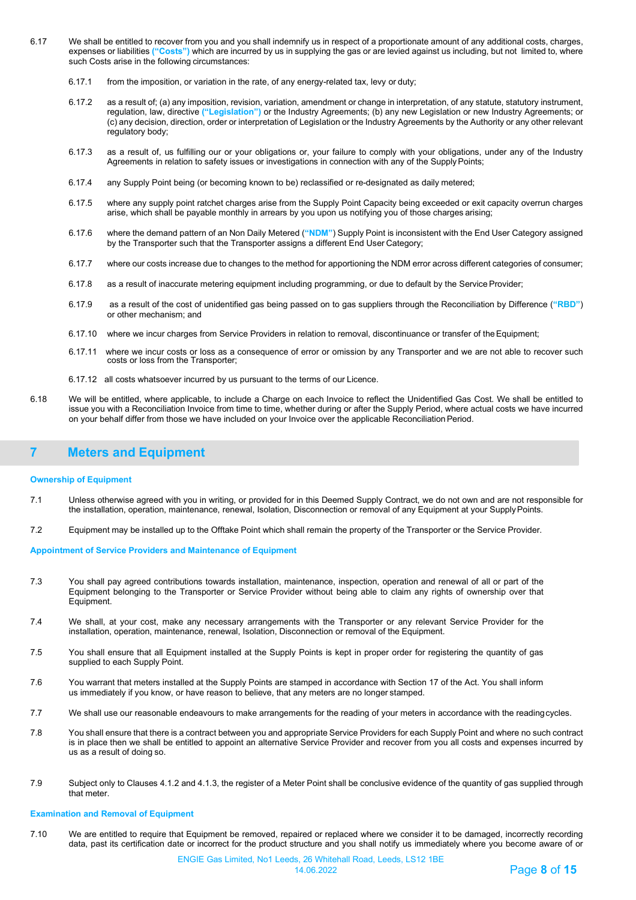- 6.17 We shall be entitled to recover from you and you shall indemnify us in respect of a proportionate amount of any additional costs, charges, expenses or liabilities **("Costs")** which are incurred by us in supplying the gas or are levied against us including, but not limited to, where such Costs arise in the following circumstances:
	- 6.17.1 from the imposition, or variation in the rate, of any energy-related tax, levy or duty;
	- 6.17.2 as a result of; (a) any imposition, revision, variation, amendment or change in interpretation, of any statute, statutory instrument, regulation, law, directive **("Legislation")** or the Industry Agreements; (b) any new Legislation or new Industry Agreements; or (c) any decision, direction, order or interpretation of Legislation or the Industry Agreements by the Authority or any other relevant regulatory body;
	- 6.17.3 as a result of, us fulfilling our or your obligations or, your failure to comply with your obligations, under any of the Industry Agreements in relation to safety issues or investigations in connection with any of the SupplyPoints;
	- 6.17.4 any Supply Point being (or becoming known to be) reclassified or re-designated as daily metered;
	- 6.17.5 where any supply point ratchet charges arise from the Supply Point Capacity being exceeded or exit capacity overrun charges arise, which shall be payable monthly in arrears by you upon us notifying you of those charges arising;
	- 6.17.6 where the demand pattern of an Non Daily Metered (**"NDM"**) Supply Point is inconsistent with the End User Category assigned by the Transporter such that the Transporter assigns a different End User Category;
	- 6.17.7 where our costs increase due to changes to the method for apportioning the NDM error across different categories of consumer;
	- 6.17.8 as a result of inaccurate metering equipment including programming, or due to default by the ServiceProvider;
	- 6.17.9 as a result of the cost of unidentified gas being passed on to gas suppliers through the Reconciliation by Difference (**"RBD"**) or other mechanism; and
	- 6.17.10 where we incur charges from Service Providers in relation to removal, discontinuance or transfer of theEquipment;
	- 6.17.11 where we incur costs or loss as a consequence of error or omission by any Transporter and we are not able to recover such costs or loss from the Transporter;
	- 6.17.12 all costs whatsoever incurred by us pursuant to the terms of our Licence.
- 6.18 We will be entitled, where applicable, to include a Charge on each Invoice to reflect the Unidentified Gas Cost. We shall be entitled to issue you with a Reconciliation Invoice from time to time, whether during or after the Supply Period, where actual costs we have incurred on your behalf differ from those we have included on your Invoice over the applicable ReconciliationPeriod.

## <span id="page-7-0"></span>**7 Meters and Equipment**

### **Ownership of Equipment**

- 7.1 Unless otherwise agreed with you in writing, or provided for in this Deemed Supply Contract, we do not own and are not responsible for the installation, operation, maintenance, renewal, Isolation, Disconnection or removal of any Equipment at your SupplyPoints.
- 7.2 Equipment may be installed up to the Offtake Point which shall remain the property of the Transporter or the Service Provider.

### **Appointment of Service Providers and Maintenance of Equipment**

- 7.3 You shall pay agreed contributions towards installation, maintenance, inspection, operation and renewal of all or part of the Equipment belonging to the Transporter or Service Provider without being able to claim any rights of ownership over that Equipment.
- 7.4 We shall, at your cost, make any necessary arrangements with the Transporter or any relevant Service Provider for the installation, operation, maintenance, renewal, Isolation, Disconnection or removal of the Equipment.
- 7.5 You shall ensure that all Equipment installed at the Supply Points is kept in proper order for registering the quantity of gas supplied to each Supply Point.
- 7.6 You warrant that meters installed at the Supply Points are stamped in accordance with Section 17 of the Act. You shall inform us immediately if you know, or have reason to believe, that any meters are no longer stamped.
- 7.7 We shall use our reasonable endeavours to make arrangements for the reading of your meters in accordance with the readingcycles.
- 7.8 You shall ensure that there is a contract between you and appropriate Service Providers for each Supply Point and where no such contract is in place then we shall be entitled to appoint an alternative Service Provider and recover from you all costs and expenses incurred by us as a result of doing so.
- 7.9 Subject only to Clauses 4.1.2 and 4.1.3, the register of a Meter Point shall be conclusive evidence of the quantity of gas supplied through that meter.

### **Examination and Removal of Equipment**

7.10 We are entitled to require that Equipment be removed, repaired or replaced where we consider it to be damaged, incorrectly recording data, past its certification date or incorrect for the product structure and you shall notify us immediately where you become aware of or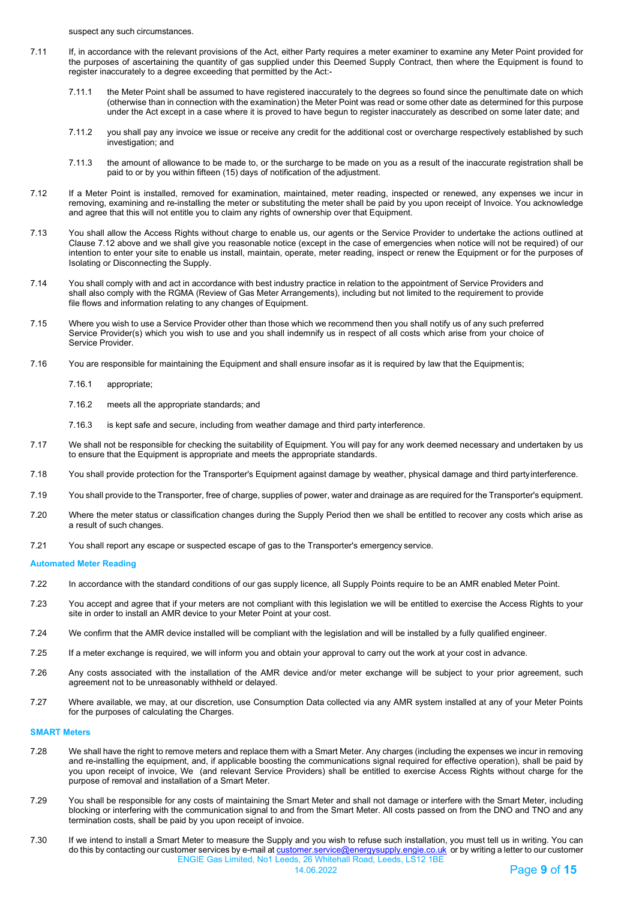suspect any such circumstances.

- 7.11 If, in accordance with the relevant provisions of the Act, either Party requires a meter examiner to examine any Meter Point provided for the purposes of ascertaining the quantity of gas supplied under this Deemed Supply Contract, then where the Equipment is found to register inaccurately to a degree exceeding that permitted by the Act:-
	- 7.11.1 the Meter Point shall be assumed to have registered inaccurately to the degrees so found since the penultimate date on which (otherwise than in connection with the examination) the Meter Point was read or some other date as determined for this purpose under the Act except in a case where it is proved to have begun to register inaccurately as described on some later date; and
	- 7.11.2 you shall pay any invoice we issue or receive any credit for the additional cost or overcharge respectively established by such investigation; and
	- 7.11.3 the amount of allowance to be made to, or the surcharge to be made on you as a result of the inaccurate registration shall be paid to or by you within fifteen (15) days of notification of the adjustment.
- 7.12 If a Meter Point is installed, removed for examination, maintained, meter reading, inspected or renewed, any expenses we incur in removing, examining and re-installing the meter or substituting the meter shall be paid by you upon receipt of Invoice. You acknowledge and agree that this will not entitle you to claim any rights of ownership over that Equipment.
- 7.13 You shall allow the Access Rights without charge to enable us, our agents or the Service Provider to undertake the actions outlined at Clause 7.12 above and we shall give you reasonable notice (except in the case of emergencies when notice will not be required) of our intention to enter your site to enable us install, maintain, operate, meter reading, inspect or renew the Equipment or for the purposes of Isolating or Disconnecting the Supply.
- 7.14 You shall comply with and act in accordance with best industry practice in relation to the appointment of Service Providers and shall also comply with the RGMA (Review of Gas Meter Arrangements), including but not limited to the requirement to provide file flows and information relating to any changes of Equipment.
- 7.15 Where you wish to use a Service Provider other than those which we recommend then you shall notify us of any such preferred Service Provider(s) which you wish to use and you shall indemnify us in respect of all costs which arise from your choice of Service Provider.
- 7.16 You are responsible for maintaining the Equipment and shall ensure insofar as it is required by law that the Equipmentis;
	- 7.16.1 appropriate;
	- 7.16.2 meets all the appropriate standards; and
	- 7.16.3 is kept safe and secure, including from weather damage and third party interference.
- 7.17 We shall not be responsible for checking the suitability of Equipment. You will pay for any work deemed necessary and undertaken by us to ensure that the Equipment is appropriate and meets the appropriate standards.
- 7.18 You shall provide protection for the Transporter's Equipment against damage by weather, physical damage and third partyinterference.
- 7.19 You shall provide to the Transporter, free of charge, supplies of power, water and drainage as are required for the Transporter's equipment.
- 7.20 Where the meter status or classification changes during the Supply Period then we shall be entitled to recover any costs which arise as a result of such changes.
- 7.21 You shall report any escape or suspected escape of gas to the Transporter's emergency service.

#### **Automated Meter Reading**

- 7.22 In accordance with the standard conditions of our gas supply licence, all Supply Points require to be an AMR enabled Meter Point.
- 7.23 You accept and agree that if your meters are not compliant with this legislation we will be entitled to exercise the Access Rights to your site in order to install an AMR device to your Meter Point at your cost.
- 7.24 We confirm that the AMR device installed will be compliant with the legislation and will be installed by a fully qualified engineer.
- 7.25 If a meter exchange is required, we will inform you and obtain your approval to carry out the work at your cost in advance.
- 7.26 Any costs associated with the installation of the AMR device and/or meter exchange will be subject to your prior agreement, such agreement not to be unreasonably withheld or delayed.
- 7.27 Where available, we may, at our discretion, use Consumption Data collected via any AMR system installed at any of your Meter Points for the purposes of calculating the Charges.

### **SMART Meters**

- 7.28 We shall have the right to remove meters and replace them with a Smart Meter. Any charges (including the expenses we incur in removing and re-installing the equipment, and, if applicable boosting the communications signal required for effective operation), shall be paid by you upon receipt of invoice, We (and relevant Service Providers) shall be entitled to exercise Access Rights without charge for the purpose of removal and installation of a Smart Meter.
- 7.29 You shall be responsible for any costs of maintaining the Smart Meter and shall not damage or interfere with the Smart Meter, including blocking or interfering with the communication signal to and from the Smart Meter. All costs passed on from the DNO and TNO and any termination costs, shall be paid by you upon receipt of invoice.
- ENGIE Gas Limited, No1 Leeds, 26 Whitehall Road, Leeds, LS12 1BE 7.30 If we intend to install a Smart Meter to measure the Supply and you wish to refuse such installation, you must tell us in writing. You can do this by contacting our customer services by e-mail at <u>customer.service@energysupply.engie.co.uk</u> or by writing a letter to our customer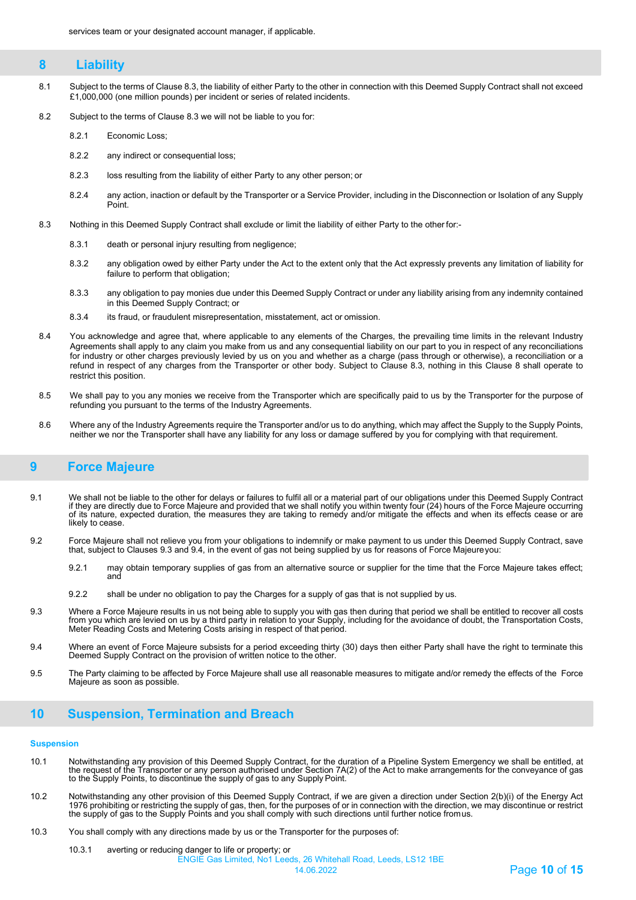## <span id="page-9-0"></span>**8 Liability**

- 8.1 Subject to the terms of Clause 8.3, the liability of either Party to the other in connection with this Deemed Supply Contract shall not exceed £1,000,000 (one million pounds) per incident or series of related incidents.
- 8.2 Subject to the terms of Clause 8.3 we will not be liable to you for:
	- 8.2.1 Economic Loss;
	- 8.2.2 any indirect or consequential loss;
	- 8.2.3 loss resulting from the liability of either Party to any other person; or
	- 8.2.4 any action, inaction or default by the Transporter or a Service Provider, including in the Disconnection or Isolation of any Supply Point.
- 8.3 Nothing in this Deemed Supply Contract shall exclude or limit the liability of either Party to the other for:-
	- 8.3.1 death or personal injury resulting from negligence;
	- 8.3.2 any obligation owed by either Party under the Act to the extent only that the Act expressly prevents any limitation of liability for failure to perform that obligation;
	- 8.3.3 any obligation to pay monies due under this Deemed Supply Contract or under any liability arising from any indemnity contained in this Deemed Supply Contract; or
	- 8.3.4 its fraud, or fraudulent misrepresentation, misstatement, act or omission.
- <span id="page-9-1"></span>8.4 You acknowledge and agree that, where applicable to any elements of the Charges, the prevailing time limits in the relevant Industry Agreements shall apply to any claim you make from us and any consequential liability on our part to you in respect of any reconciliations for industry or other charges previously levied by us on you and whether as a charge (pass through or otherwise), a reconciliation or a refund in respect of any charges from the Transporter or other body. Subject to Clause 8.3, nothing in this Clause 8 shall operate to restrict this position.
- 8.5 We shall pay to you any monies we receive from the Transporter which are specifically paid to us by the Transporter for the purpose of refunding you pursuant to the terms of the Industry Agreements.
- 8.6 Where any of the Industry Agreements require the Transporter and/or us to do anything, which may affect the Supply to the Supply Points, neither we nor the Transporter shall have any liability for any loss or damage suffered by you for complying with that requirement.

## **9 Force Majeure**

- 9.1 We shall not be liable to the other for delays or failures to fulfil all or a material part of our obligations under this Deemed Supply Contract if they are directly due to Force Majeure and provided that we shall notify you within twenty four (24) hours of the Force Majeure occurring<br>of its nature, expected duration, the measures they are taking to remedy and/or m
- 9.2 Force Majeure shall not relieve you from your obligations to indemnify or make payment to us under this Deemed Supply Contract, save that, subject to Clauses 9.3 and 9.4, in the event of gas not being supplied by us for reasons of Force Majeureyou:
	- 9.2.1 may obtain temporary supplies of gas from an alternative source or supplier for the time that the Force Majeure takes effect; and
	- 9.2.2 shall be under no obligation to pay the Charges for a supply of gas that is not supplied by us.
- 9.3 Where a Force Majeure results in us not being able to supply you with gas then during that period we shall be entitled to recover all costs<br>from you which are levied on us by a third party in relation to your Supply, i Meter Reading Costs and Metering Costs arising in respect of that period.
- 9.4 Where an event of Force Majeure subsists for a period exceeding thirty (30) days then either Party shall have the right to terminate this Deemed Supply Contract on the provision of written notice to the other.
- 9.5 The Party claiming to be affected by Force Majeure shall use all reasonable measures to mitigate and/or remedy the effects of the Force Majeure as soon as possible.

## <span id="page-9-2"></span>**10 Suspension, Termination and Breach**

#### **Suspension**

- 10.1 Notwithstanding any provision of this Deemed Supply Contract, for the duration of a Pipeline System Emergency we shall be entitled, at the request of the Transporter or any person authorised under Section 7A(2) of the Act to make arrangements for the conveyance of gas to the Supply Points, to discontinue the supply of gas to any Supply Point.
- 10.2 Notwithstanding any other provision of this Deemed Supply Contract, if we are given a direction under Section 2(b)(i) of the Energy Act<br>1976 prohibiting or restricting the supply of gas, then, for the purposes of or i the supply of gas to the Supply Points and you shall comply with such directions until further notice fromus.
- 10.3 You shall comply with any directions made by us or the Transporter for the purposes of: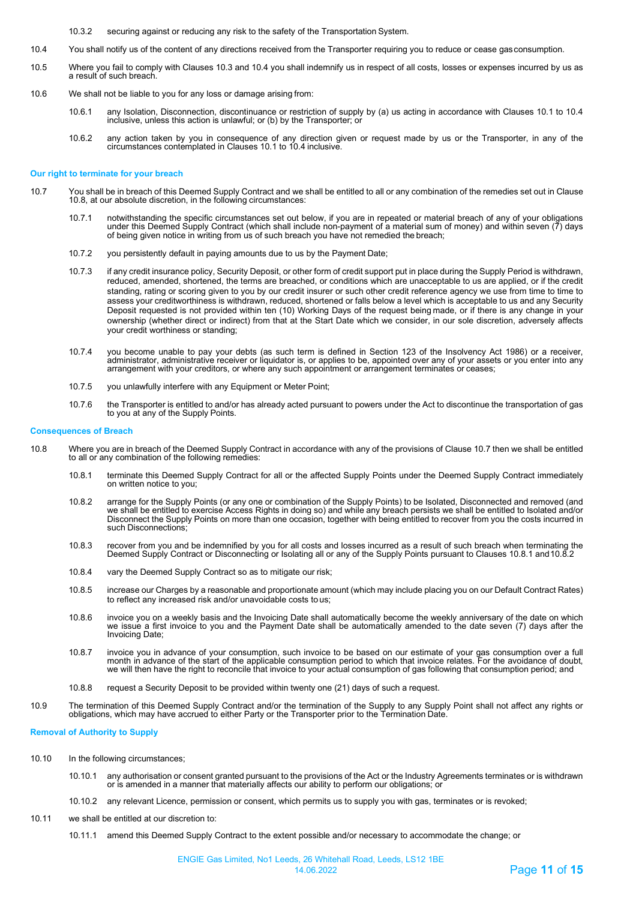10.3.2 securing against or reducing any risk to the safety of the Transportation System.

- 10.4 You shall notify us of the content of any directions received from the Transporter requiring you to reduce or cease gasconsumption.
- 10.5 Where you fail to comply with Clauses 10.3 and 10.4 you shall indemnify us in respect of all costs, losses or expenses incurred by us as a result of such breach.
- 10.6 We shall not be liable to you for any loss or damage arising from:
	- 10.6.1 any Isolation, Disconnection, discontinuance or restriction of supply by (a) us acting in accordance with Clauses 10.1 to 10.4 inclusive, unless this action is unlawful; or (b) by the Transporter; or
	- 10.6.2 any action taken by you in consequence of any direction given or request made by us or the Transporter, in any of the circumstances contemplated in Clauses 10.1 to 10.4 inclusive.

#### **Our right to terminate for your breach**

- 10.7 You shall be in breach of this Deemed Supply Contract and we shall be entitled to all or any combination of the remedies set out in Clause 10.8, at our absolute discretion, in the following circumstances:
	- 10.7.1 notwithstanding the specific circumstances set out below, if you are in repeated or material breach of any of your obligations under this Deemed Supply Contract (which shall include non-payment of a material sum of money) and within seven  $(7)$  days of being given notice in writing from us of such breach you have not remedied the breach;
	- 10.7.2 you persistently default in paying amounts due to us by the Payment Date;
	- 10.7.3 if any credit insurance policy, Security Deposit, or other form of credit support put in place during the Supply Period is withdrawn, reduced, amended, shortened, the terms are breached, or conditions which are unacceptable to us are applied, or if the credit standing, rating or scoring given to you by our credit insurer or such other credit reference agency we use from time to time to assess your creditworthiness is withdrawn, reduced, shortened or falls below a level which is acceptable to us and any Security Deposit requested is not provided within ten (10) Working Days of the request being made, or if there is any change in your ownership (whether direct or indirect) from that at the Start Date which we consider, in our sole discretion, adversely affects your credit worthiness or standing;
	- ,10.7.4 you become unable to pay your debts (as such term is defined in Section 123 of the Insolvency Act 1986) or a receiver,<br>administrator, administrative receiver or liquidator is, or applies to be, appointed over any o arrangement with your creditors, or where any such appointment or arrangement terminates or ceases;
	- 10.7.5 you unlawfully interfere with any Equipment or Meter Point;
	- 10.7.6 the Transporter is entitled to and/or has already acted pursuant to powers under the Act to discontinue the transportation of gas to you at any of the Supply Points.

#### **Consequences of Breach**

- 10.8 Where you are in breach of the Deemed Supply Contract in accordance with any of the provisions of Clause 10.7 then we shall be entitled to all or any combination of the following remedies:
	- 10.8.1 terminate this Deemed Supply Contract for all or the affected Supply Points under the Deemed Supply Contract immediately on written notice to you;
	- 10.8.2 arrange for the Supply Points (or any one or combination of the Supply Points) to be Isolated, Disconnected and removed (and<br>we shall be entitled to exercise Access Rights in doing so) and while any breach persists Disconnect the Supply Points on more than one occasion, together with being entitled to recover from you the costs incurred in<br>such Disconnections;
	- 10.8.3 recover from you and be indemnified by you for all costs and losses incurred as a result of such breach when terminating the Deemed Supply Contract or Disconnecting or Isolating all or any of the Supply Points pursuant to Clauses 10.8.1 and10.8.2
	- 10.8.4 vary the Deemed Supply Contract so as to mitigate our risk;
	- 10.8.5 increase our Charges by a reasonable and proportionate amount (which may include placing you on our Default Contract Rates) to reflect any increased risk and/or unavoidable costs to us;
	- 10.8.6 invoice you on a weekly basis and the Invoicing Date shall automatically become the weekly anniversary of the date on which we issue a first invoice to you and the Payment Date shall be automatically amended to the date seven (7) days after the Invoicing Date;
	- 10.8.7 invoice you in advance of your consumption, such invoice to be based on our estimate of your gas consumption over a full month in advance of the start of the applicable consumption period to which that invoice relates. For the avoidance of doubt,<br>we will then have the right to reconcile that invoice to your actual consumption of gas followin
	- 10.8.8 request a Security Deposit to be provided within twenty one (21) days of such a request.
- 10.9 The termination of this Deemed Supply Contract and/or the termination of the Supply to any Supply Point shall not affect any rights or obligations, which may have accrued to either Party or the Transporter prior to the Termination Date.

#### **Removal of Authority to Supply**

- 10.10 In the following circumstances;
	- 10.10.1 any authorisation or consent granted pursuant to the provisions of the Act or the Industry Agreements terminates or is withdrawn or is amended in a manner that materially affects our ability to perform our obligations; or
	- 10.10.2 any relevant Licence, permission or consent, which permits us to supply you with gas, terminates or is revoked;
- 10.11 we shall be entitled at our discretion to:
	- 10.11.1 amend this Deemed Supply Contract to the extent possible and/or necessary to accommodate the change; or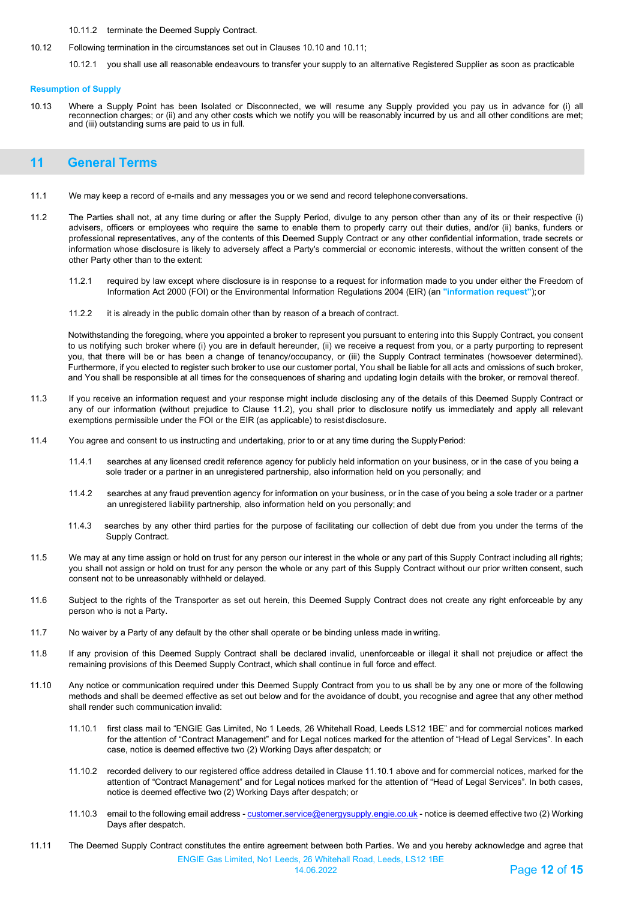### 10.11.2 terminate the Deemed Supply Contract.

10.12 Following termination in the circumstances set out in Clauses 10.10 and 10.11;

10.12.1 you shall use all reasonable endeavours to transfer your supply to an alternative Registered Supplier as soon as practicable

#### **Resumption of Supply**

10.13 Where a Supply Point has been Isolated or Disconnected, we will resume any Supply provided you pay us in advance for (i) all reconnection charges; or (ii) and any other costs which we notify you will be reasonably incurred by us and all other conditions are met; and (iii) outstanding sums are paid to us in full.

## <span id="page-11-0"></span>**11 General Terms**

- 11.1 We may keep a record of e-mails and any messages you or we send and record telephoneconversations.
- 11.2 The Parties shall not, at any time during or after the Supply Period, divulge to any person other than any of its or their respective (i) advisers, officers or employees who require the same to enable them to properly carry out their duties, and/or (ii) banks, funders or professional representatives, any of the contents of this Deemed Supply Contract or any other confidential information, trade secrets or information whose disclosure is likely to adversely affect a Party's commercial or economic interests, without the written consent of the other Party other than to the extent:
	- 11.2.1 required by law except where disclosure is in response to a request for information made to you under either the Freedom of Information Act 2000 (FOI) or the Environmental Information Regulations 2004 (EIR) (an **"information request"**);or
	- 11.2.2 it is already in the public domain other than by reason of a breach of contract.

Notwithstanding the foregoing, where you appointed a broker to represent you pursuant to entering into this Supply Contract, you consent to us notifying such broker where (i) you are in default hereunder, (ii) we receive a request from you, or a party purporting to represent you, that there will be or has been a change of tenancy/occupancy, or (iii) the Supply Contract terminates (howsoever determined). Furthermore, if you elected to register such broker to use our customer portal, You shall be liable for all acts and omissions of such broker, and You shall be responsible at all times for the consequences of sharing and updating login details with the broker, or removal thereof.

- 11.3 If you receive an information request and your response might include disclosing any of the details of this Deemed Supply Contract or any of our information (without prejudice to Clause 11.2), you shall prior to disclosure notify us immediately and apply all relevant exemptions permissible under the FOI or the EIR (as applicable) to resist disclosure.
- 11.4 You agree and consent to us instructing and undertaking, prior to or at any time during the SupplyPeriod:
	- 11.4.1 searches at any licensed credit reference agency for publicly held information on your business, or in the case of you being a sole trader or a partner in an unregistered partnership, also information held on you personally; and
	- 11.4.2 searches at any fraud prevention agency for information on your business, or in the case of you being a sole trader or a partner an unregistered liability partnership, also information held on you personally; and
	- 11.4.3 searches by any other third parties for the purpose of facilitating our collection of debt due from you under the terms of the Supply Contract.
- 11.5 We may at any time assign or hold on trust for any person our interest in the whole or any part of this Supply Contract including all rights; you shall not assign or hold on trust for any person the whole or any part of this Supply Contract without our prior written consent, such consent not to be unreasonably withheld or delayed.
- 11.6 Subject to the rights of the Transporter as set out herein, this Deemed Supply Contract does not create any right enforceable by any person who is not a Party.
- 11.7 No waiver by a Party of any default by the other shall operate or be binding unless made in writing.
- 11.8 If any provision of this Deemed Supply Contract shall be declared invalid, unenforceable or illegal it shall not prejudice or affect the remaining provisions of this Deemed Supply Contract, which shall continue in full force and effect.
- 11.10 Any notice or communication required under this Deemed Supply Contract from you to us shall be by any one or more of the following methods and shall be deemed effective as set out below and for the avoidance of doubt, you recognise and agree that any other method shall render such communication invalid:
	- 11.10.1 first class mail to "ENGIE Gas Limited, No 1 Leeds, 26 Whitehall Road, Leeds LS12 1BE" and for commercial notices marked for the attention of "Contract Management" and for Legal notices marked for the attention of "Head of Legal Services". In each case, notice is deemed effective two (2) Working Days after despatch; or
	- 11.10.2 recorded delivery to our registered office address detailed in Clause 11.10.1 above and for commercial notices, marked for the attention of "Contract Management" and for Legal notices marked for the attention of "Head of Legal Services". In both cases, notice is deemed effective two (2) Working Days after despatch; or
	- 11.10.3 email to the following email address  [customer.service@energysupply.engie.co.uk -](mailto:customer.service@energysupply.engie.co.uk) notice is deemed effective two (2) Working Days after despatch.
- ENGIE Gas Limited, No1 Leeds, 26 Whitehall Road, Leeds, LS12 1BE 11.11 The Deemed Supply Contract constitutes the entire agreement between both Parties. We and you hereby acknowledge and agree that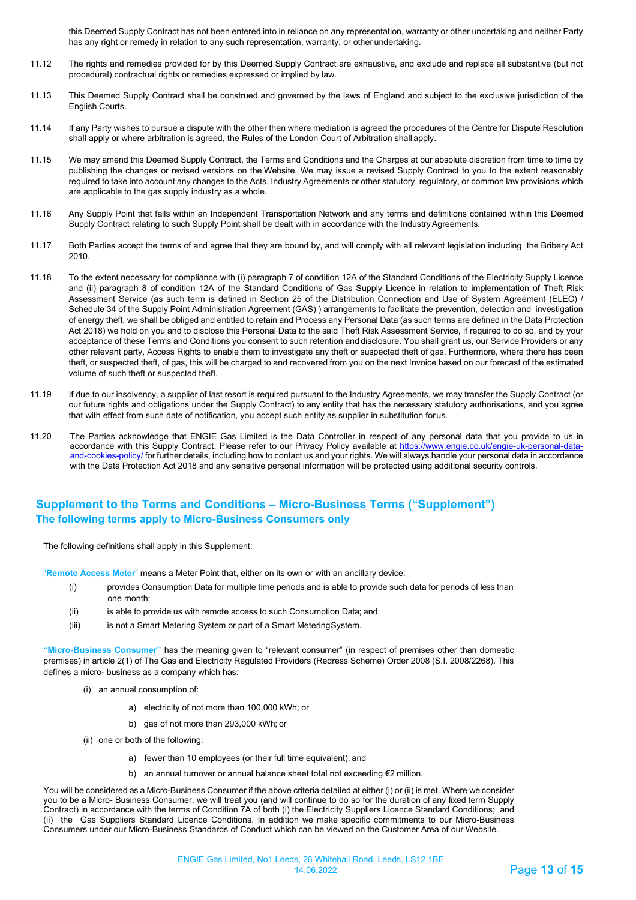this Deemed Supply Contract has not been entered into in reliance on any representation, warranty or other undertaking and neither Party has any right or remedy in relation to any such representation, warranty, or other undertaking.

- 11.12 The rights and remedies provided for by this Deemed Supply Contract are exhaustive, and exclude and replace all substantive (but not procedural) contractual rights or remedies expressed or implied by law.
- 11.13 This Deemed Supply Contract shall be construed and governed by the laws of England and subject to the exclusive jurisdiction of the English Courts.
- 11.14 If any Party wishes to pursue a dispute with the other then where mediation is agreed the procedures of the Centre for Dispute Resolution shall apply or where arbitration is agreed, the Rules of the London Court of Arbitration shall apply.
- 11.15 We may amend this Deemed Supply Contract, the Terms and Conditions and the Charges at our absolute discretion from time to time by publishing the changes or revised versions on the Website. We may issue a revised Supply Contract to you to the extent reasonably required to take into account any changes to the Acts, Industry Agreements or other statutory, regulatory, or common law provisions which are applicable to the gas supply industry as a whole.
- 11.16 Any Supply Point that falls within an Independent Transportation Network and any terms and definitions contained within this Deemed Supply Contract relating to such Supply Point shall be dealt with in accordance with the IndustryAgreements.
- 11.17 Both Parties accept the terms of and agree that they are bound by, and will comply with all relevant legislation including the Bribery Act 2010.
- 11.18 To the extent necessary for compliance with (i) paragraph 7 of condition 12A of the Standard Conditions of the Electricity Supply Licence and (ii) paragraph 8 of condition 12A of the Standard Conditions of Gas Supply Licence in relation to implementation of Theft Risk Assessment Service (as such term is defined in Section 25 of the Distribution Connection and Use of System Agreement (ELEC) / Schedule 34 of the Supply Point Administration Agreement (GAS) ) arrangements to facilitate the prevention, detection and investigation of energy theft, we shall be obliged and entitled to retain and Process any Personal Data (as such terms are defined in the Data Protection Act 2018) we hold on you and to disclose this Personal Data to the said Theft Risk Assessment Service, if required to do so, and by your acceptance of these Terms and Conditions you consent to such retention and disclosure. You shall grant us, our Service Providers or any other relevant party, Access Rights to enable them to investigate any theft or suspected theft of gas. Furthermore, where there has been theft, or suspected theft, of gas, this will be charged to and recovered from you on the next Invoice based on our forecast of the estimated volume of such theft or suspected theft.
- 11.19 If due to our insolvency, a supplier of last resort is required pursuant to the Industry Agreements, we may transfer the Supply Contract (or our future rights and obligations under the Supply Contract) to any entity that has the necessary statutory authorisations, and you agree that with effect from such date of notification, you accept such entity as supplier in substitution forus.
- 11.20 The Parties acknowledge that ENGIE Gas Limited is the Data Controller in respect of any personal data that you provide to us in accordance with this Supply Contract. Please refer to our Privacy Policy available at [https://www.engie.co.uk/engie-uk-personal-data](https://www.engie.co.uk/engie-uk-personal-data-and-cookies-policy/)[and-cookies-policy/](https://www.engie.co.uk/engie-uk-personal-data-and-cookies-policy/) for further details, including how to contact us and your rights. We will always handle your personal data in accordance with the Data Protection Act 2018 and any sensitive personal information will be protected using additional security controls.

## **Supplement to the Terms and Conditions – Micro-Business Terms ("Supplement") The following terms apply to Micro-Business Consumers only**

The following definitions shall apply in this Supplement:

"**Remote Access Meter**" means a Meter Point that, either on its own or with an ancillary device:

- (i) provides Consumption Data for multiple time periods and is able to provide such data for periods of less than one month;
- (ii) is able to provide us with remote access to such Consumption Data; and
- (iii) is not a Smart Metering System or part of a Smart MeteringSystem.

**"Micro-Business Consumer"** has the meaning given to "relevant consumer" (in respect of premises other than domestic premises) in article 2(1) of The Gas and Electricity Regulated Providers (Redress Scheme) Order 2008 (S.I. 2008/2268). This defines a micro- business as a company which has:

- (i) an annual consumption of:
	- a) electricity of not more than 100,000 kWh; or
	- b) gas of not more than 293,000 kWh; or
- (ii) one or both of the following:
	- a) fewer than 10 employees (or their full time equivalent); and
	- b) an annual turnover or annual balance sheet total not exceeding €2 million.

You will be considered as a Micro-Business Consumer if the above criteria detailed at either (i) or (ii) is met. Where we consider you to be a Micro- Business Consumer, we will treat you (and will continue to do so for the duration of any fixed term Supply Contract) in accordance with the terms of Condition 7A of both (i) the Electricity Suppliers Licence Standard Conditions; and (ii) the Gas Suppliers Standard Licence Conditions. In addition we make specific commitments to our Micro-Business Consumers under our Micro-Business Standards of Conduct which can be viewed on the Customer Area of our Website.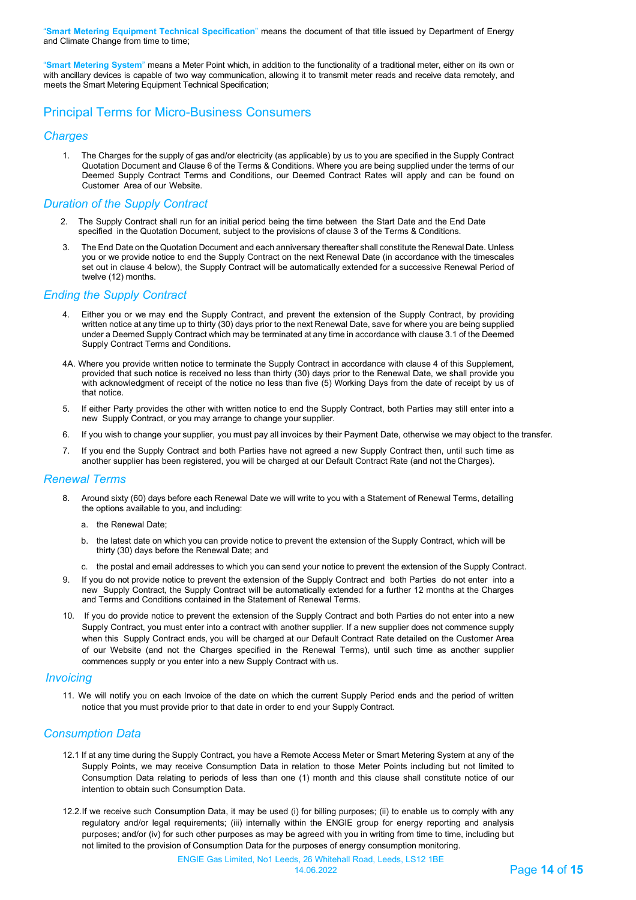"**Smart Metering Equipment Technical Specification**" means the document of that title issued by Department of Energy and Climate Change from time to time;

"**Smart Metering System**" means a Meter Point which, in addition to the functionality of a traditional meter, either on its own or with ancillary devices is capable of two way communication, allowing it to transmit meter reads and receive data remotely, and meets the Smart Metering Equipment Technical Specification;

## Principal Terms for Micro-Business Consumers

### *Charges*

1. The Charges for the supply of gas and/or electricity (as applicable) by us to you are specified in the Supply Contract Quotation Document and Clause 6 of the Terms & Conditions. Where you are being supplied under the terms of our Deemed Supply Contract Terms and Conditions, our Deemed Contract Rates will apply and can be found on Customer Area of our Website.

## *Duration of the Supply Contract*

- 2. The Supply Contract shall run for an initial period being the time between the Start Date and the End Date specified in the Quotation Document, subject to the provisions of clause 3 of the Terms & Conditions.
- 3. The End Date on the Quotation Document and each anniversary thereafter shall constitute the Renewal Date. Unless you or we provide notice to end the Supply Contract on the next Renewal Date (in accordance with the timescales set out in clause 4 below), the Supply Contract will be automatically extended for a successive Renewal Period of twelve (12) months.

## *Ending the Supply Contract*

- 4. Either you or we may end the Supply Contract, and prevent the extension of the Supply Contract, by providing written notice at any time up to thirty (30) days prior to the next Renewal Date, save for where you are being supplied under a Deemed Supply Contract which may be terminated at any time in accordance with clause 3.1 of the Deemed Supply Contract Terms and Conditions.
- 4A. Where you provide written notice to terminate the Supply Contract in accordance with clause 4 of this Supplement, provided that such notice is received no less than thirty (30) days prior to the Renewal Date, we shall provide you with acknowledgment of receipt of the notice no less than five (5) Working Days from the date of receipt by us of that notice.
- 5. If either Party provides the other with written notice to end the Supply Contract, both Parties may still enter into a new Supply Contract, or you may arrange to change your supplier.
- 6. If you wish to change your supplier, you must pay all invoices by their Payment Date, otherwise we may object to the transfer.
- 7. If you end the Supply Contract and both Parties have not agreed a new Supply Contract then, until such time as another supplier has been registered, you will be charged at our Default Contract Rate (and not the Charges).

## *Renewal Terms*

- 8. Around sixty (60) days before each Renewal Date we will write to you with a Statement of Renewal Terms, detailing the options available to you, and including:
	- a. the Renewal Date;
	- b. the latest date on which you can provide notice to prevent the extension of the Supply Contract, which will be thirty (30) days before the Renewal Date; and
	- c. the postal and email addresses to which you can send your notice to prevent the extension of the Supply Contract.
- 9. If you do not provide notice to prevent the extension of the Supply Contract and both Parties do not enter into a new Supply Contract, the Supply Contract will be automatically extended for a further 12 months at the Charges and Terms and Conditions contained in the Statement of Renewal Terms.
- 10. If you do provide notice to prevent the extension of the Supply Contract and both Parties do not enter into a new Supply Contract, you must enter into a contract with another supplier. If a new supplier does not commence supply when this Supply Contract ends, you will be charged at our Default Contract Rate detailed on the Customer Area of our Website (and not the Charges specified in the Renewal Terms), until such time as another supplier commences supply or you enter into a new Supply Contract with us.

### *Invoicing*

11. We will notify you on each Invoice of the date on which the current Supply Period ends and the period of written notice that you must provide prior to that date in order to end your Supply Contract.

## *Consumption Data*

- 12.1 If at any time during the Supply Contract, you have a Remote Access Meter or Smart Metering System at any of the Supply Points, we may receive Consumption Data in relation to those Meter Points including but not limited to Consumption Data relating to periods of less than one (1) month and this clause shall constitute notice of our intention to obtain such Consumption Data.
- 12.2.If we receive such Consumption Data, it may be used (i) for billing purposes; (ii) to enable us to comply with any regulatory and/or legal requirements; (iii) internally within the ENGIE group for energy reporting and analysis purposes; and/or (iv) for such other purposes as may be agreed with you in writing from time to time, including but not limited to the provision of Consumption Data for the purposes of energy consumption monitoring.